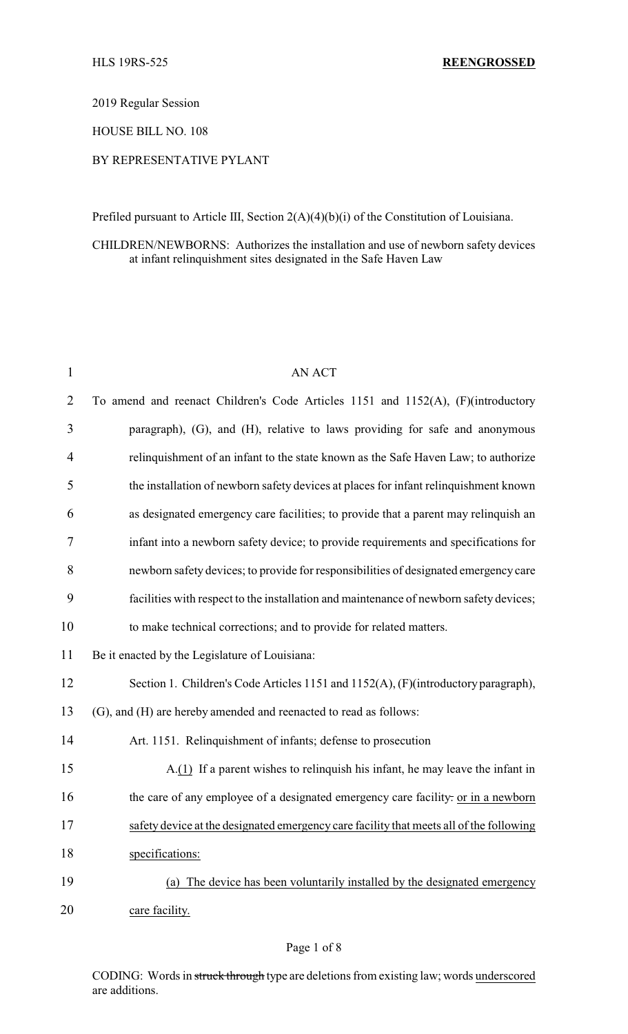2019 Regular Session

HOUSE BILL NO. 108

## BY REPRESENTATIVE PYLANT

Prefiled pursuant to Article III, Section 2(A)(4)(b)(i) of the Constitution of Louisiana.

CHILDREN/NEWBORNS: Authorizes the installation and use of newborn safety devices at infant relinquishment sites designated in the Safe Haven Law

| $\mathbf{1}$   | <b>AN ACT</b>                                                                           |
|----------------|-----------------------------------------------------------------------------------------|
| $\overline{2}$ | To amend and reenact Children's Code Articles 1151 and 1152(A), (F)(introductory        |
| 3              | paragraph), (G), and (H), relative to laws providing for safe and anonymous             |
| 4              | relinquishment of an infant to the state known as the Safe Haven Law; to authorize      |
| 5              | the installation of newborn safety devices at places for infant relinquishment known    |
| 6              | as designated emergency care facilities; to provide that a parent may relinquish an     |
| 7              | infant into a newborn safety device; to provide requirements and specifications for     |
| 8              | newborn safety devices; to provide for responsibilities of designated emergency care    |
| 9              | facilities with respect to the installation and maintenance of newborn safety devices;  |
| 10             | to make technical corrections; and to provide for related matters.                      |
| 11             | Be it enacted by the Legislature of Louisiana:                                          |
| 12             | Section 1. Children's Code Articles 1151 and 1152(A), (F)(introductory paragraph),      |
| 13             | (G), and (H) are hereby amended and reenacted to read as follows:                       |
| 14             | Art. 1151. Relinquishment of infants; defense to prosecution                            |
| 15             | A.(1) If a parent wishes to relinquish his infant, he may leave the infant in           |
| 16             | the care of any employee of a designated emergency care facility: or in a newborn       |
| 17             | safety device at the designated emergency care facility that meets all of the following |
| 18             | specifications:                                                                         |
| 19             | (a) The device has been voluntarily installed by the designated emergency               |
| 20             | care facility.                                                                          |

#### Page 1 of 8

CODING: Words in struck through type are deletions from existing law; words underscored are additions.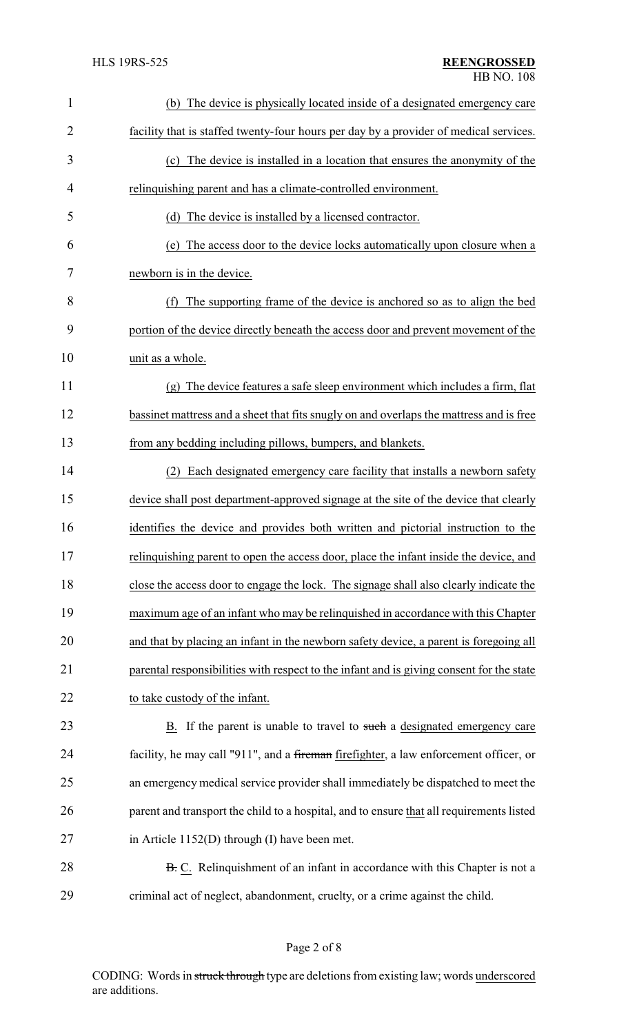| $\mathbf{1}$   | (b) The device is physically located inside of a designated emergency care               |
|----------------|------------------------------------------------------------------------------------------|
| $\overline{2}$ | facility that is staffed twenty-four hours per day by a provider of medical services.    |
| 3              | (c) The device is installed in a location that ensures the anonymity of the              |
| 4              | relinquishing parent and has a climate-controlled environment.                           |
| 5              | (d) The device is installed by a licensed contractor.                                    |
| 6              | The access door to the device locks automatically upon closure when a<br>(e)             |
| 7              | newborn is in the device.                                                                |
| 8              | (f) The supporting frame of the device is anchored so as to align the bed                |
| 9              | portion of the device directly beneath the access door and prevent movement of the       |
| 10             | unit as a whole.                                                                         |
| 11             | (g) The device features a safe sleep environment which includes a firm, flat             |
| 12             | bassinet mattress and a sheet that fits snugly on and overlaps the mattress and is free  |
| 13             | from any bedding including pillows, bumpers, and blankets.                               |
| 14             | (2) Each designated emergency care facility that installs a newborn safety               |
| 15             | device shall post department-approved signage at the site of the device that clearly     |
| 16             | identifies the device and provides both written and pictorial instruction to the         |
| 17             | relinquishing parent to open the access door, place the infant inside the device, and    |
| 18             | close the access door to engage the lock. The signage shall also clearly indicate the    |
| 19             | maximum age of an infant who may be relinquished in accordance with this Chapter         |
| 20             | and that by placing an infant in the newborn safety device, a parent is foregoing all    |
| 21             | parental responsibilities with respect to the infant and is giving consent for the state |
| 22             | to take custody of the infant.                                                           |
| 23             | <b>B.</b> If the parent is unable to travel to such a designated emergency care          |
| 24             | facility, he may call "911", and a fireman firefighter, a law enforcement officer, or    |
| 25             | an emergency medical service provider shall immediately be dispatched to meet the        |
| 26             | parent and transport the child to a hospital, and to ensure that all requirements listed |
| 27             | in Article $1152(D)$ through (I) have been met.                                          |
| 28             | <b>B.</b> C. Relinquishment of an infant in accordance with this Chapter is not a        |
| 29             | criminal act of neglect, abandonment, cruelty, or a crime against the child.             |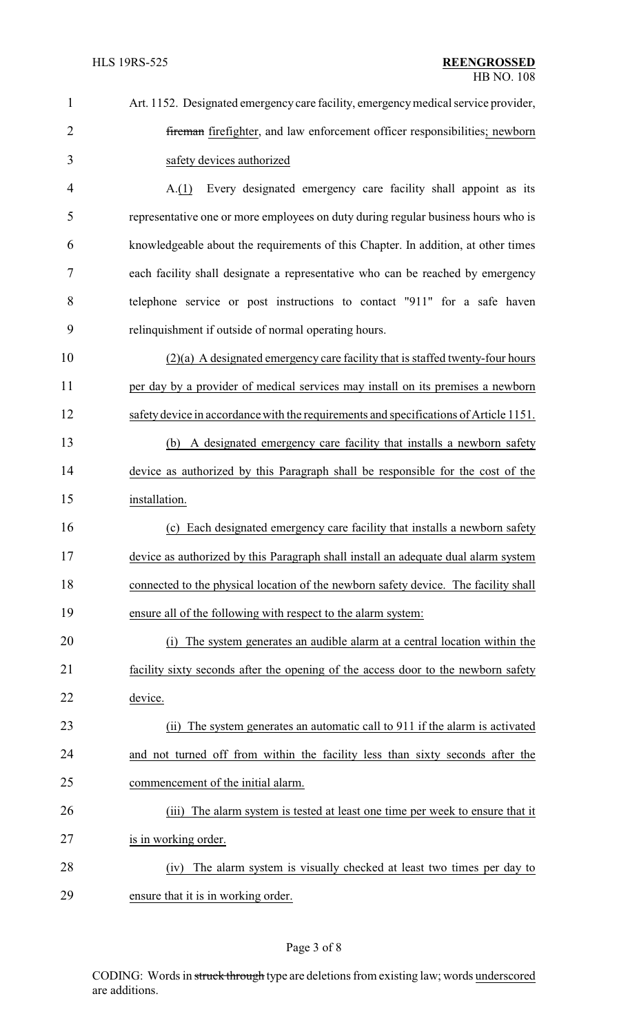| $\mathbf{1}$   | Art. 1152. Designated emergency care facility, emergency medical service provider,    |
|----------------|---------------------------------------------------------------------------------------|
| $\overline{2}$ | fireman firefighter, and law enforcement officer responsibilities; newborn            |
| 3              | safety devices authorized                                                             |
| $\overline{4}$ | Every designated emergency care facility shall appoint as its<br>A(1)                 |
| 5              | representative one or more employees on duty during regular business hours who is     |
| 6              | knowledgeable about the requirements of this Chapter. In addition, at other times     |
| 7              | each facility shall designate a representative who can be reached by emergency        |
| 8              | telephone service or post instructions to contact "911" for a safe haven              |
| 9              | relinquishment if outside of normal operating hours.                                  |
| 10             | $(2)(a)$ A designated emergency care facility that is staffed twenty-four hours       |
| 11             | per day by a provider of medical services may install on its premises a newborn       |
| 12             | safety device in accordance with the requirements and specifications of Article 1151. |
| 13             | A designated emergency care facility that installs a newborn safety<br>(b)            |
| 14             | device as authorized by this Paragraph shall be responsible for the cost of the       |
| 15             | installation.                                                                         |
| 16             | (c) Each designated emergency care facility that installs a newborn safety            |
| 17             | device as authorized by this Paragraph shall install an adequate dual alarm system    |
| 18             | connected to the physical location of the newborn safety device. The facility shall   |
| 19             | ensure all of the following with respect to the alarm system:                         |
| 20             | The system generates an audible alarm at a central location within the<br>(1)         |
| 21             | facility sixty seconds after the opening of the access door to the newborn safety     |
| 22             | device.                                                                               |
| 23             | (ii) The system generates an automatic call to 911 if the alarm is activated          |
| 24             | and not turned off from within the facility less than sixty seconds after the         |
| 25             | commencement of the initial alarm.                                                    |
| 26             | (iii) The alarm system is tested at least one time per week to ensure that it         |
| 27             | is in working order.                                                                  |
| 28             | The alarm system is visually checked at least two times per day to<br>(iv)            |
| 29             | ensure that it is in working order.                                                   |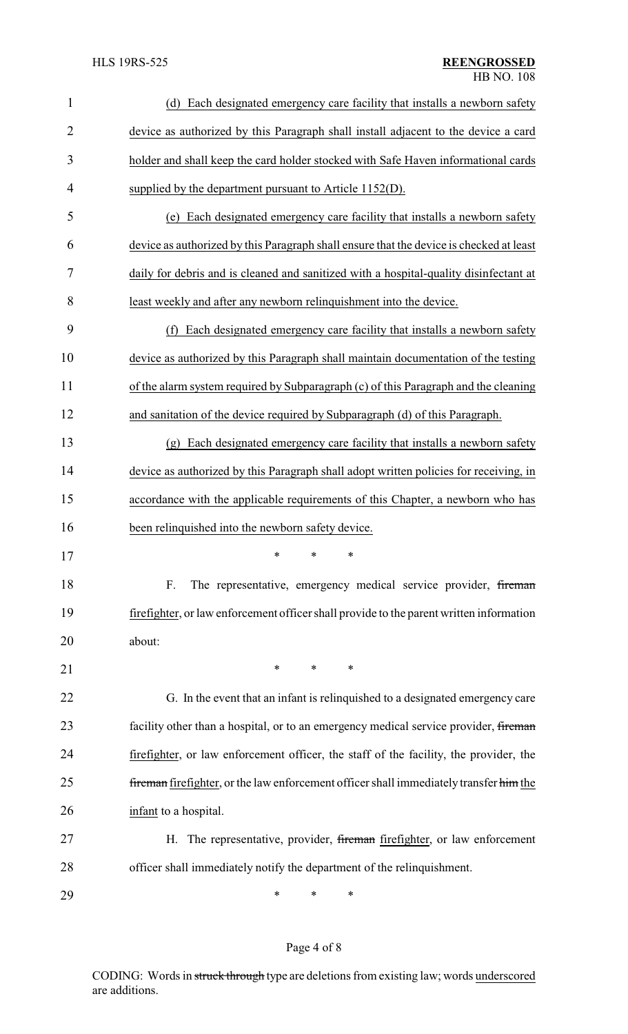| $\mathbf{1}$   | Each designated emergency care facility that installs a newborn safety<br>(d)           |  |  |
|----------------|-----------------------------------------------------------------------------------------|--|--|
| $\overline{c}$ | device as authorized by this Paragraph shall install adjacent to the device a card      |  |  |
| 3              | holder and shall keep the card holder stocked with Safe Haven informational cards       |  |  |
| 4              | supplied by the department pursuant to Article 1152(D).                                 |  |  |
| 5              | (e) Each designated emergency care facility that installs a newborn safety              |  |  |
| 6              | device as authorized by this Paragraph shall ensure that the device is checked at least |  |  |
| 7              | daily for debris and is cleaned and sanitized with a hospital-quality disinfectant at   |  |  |
| 8              | least weekly and after any newborn relinquishment into the device.                      |  |  |
| 9              | Each designated emergency care facility that installs a newborn safety<br>(f)           |  |  |
| 10             | device as authorized by this Paragraph shall maintain documentation of the testing      |  |  |
| 11             | of the alarm system required by Subparagraph (c) of this Paragraph and the cleaning     |  |  |
| 12             | and sanitation of the device required by Subparagraph (d) of this Paragraph.            |  |  |
| 13             | (g) Each designated emergency care facility that installs a newborn safety              |  |  |
| 14             | device as authorized by this Paragraph shall adopt written policies for receiving, in   |  |  |
| 15             | accordance with the applicable requirements of this Chapter, a newborn who has          |  |  |
| 16             | been relinquished into the newborn safety device.                                       |  |  |
| 17             | يول يول يول                                                                             |  |  |
| 18             | F.<br>The representative, emergency medical service provider, fireman                   |  |  |
| 19             | firefighter, or law enforcement officer shall provide to the parent written information |  |  |
| 20             | about:                                                                                  |  |  |
| 21             | *<br>$\ast$<br>$\ast$                                                                   |  |  |
| 22             | G. In the event that an infant is relinquished to a designated emergency care           |  |  |
| 23             | facility other than a hospital, or to an emergency medical service provider, fireman    |  |  |
| 24             | firefighter, or law enforcement officer, the staff of the facility, the provider, the   |  |  |
| 25             | fireman firefighter, or the law enforcement officer shall immediately transfer him the  |  |  |
| 26             | infant to a hospital.                                                                   |  |  |
| 27             | H. The representative, provider, fireman firefighter, or law enforcement                |  |  |
| 28             | officer shall immediately notify the department of the relinquishment.                  |  |  |
| 29             | ∗<br>∗<br>∗                                                                             |  |  |

# Page 4 of 8

CODING: Words in struck through type are deletions from existing law; words underscored are additions.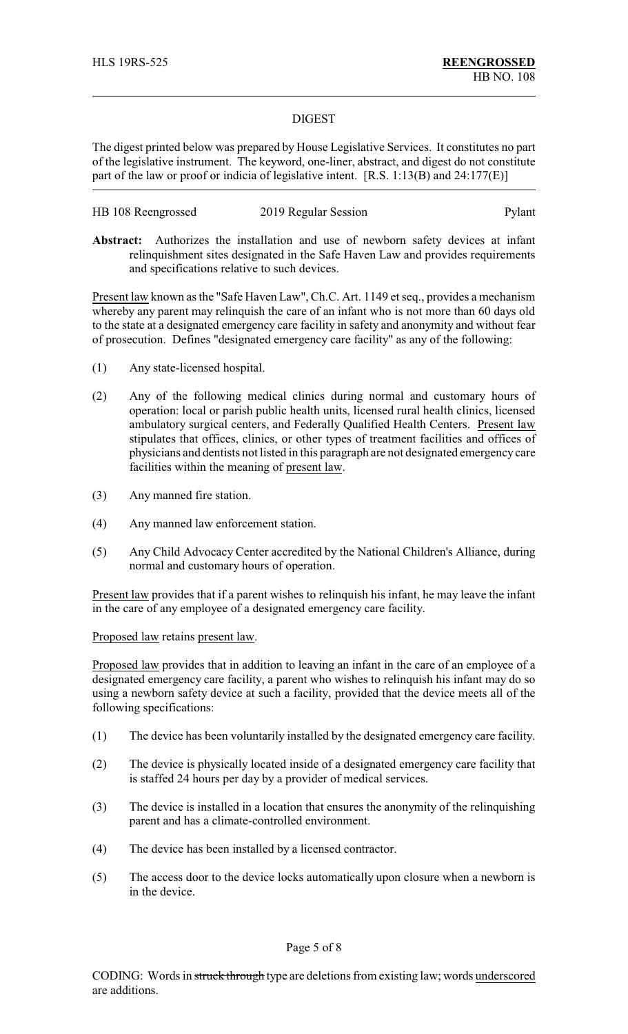#### DIGEST

The digest printed below was prepared by House Legislative Services. It constitutes no part of the legislative instrument. The keyword, one-liner, abstract, and digest do not constitute part of the law or proof or indicia of legislative intent. [R.S. 1:13(B) and 24:177(E)]

| HB 108 Reengrossed | 2019 Regular Session | Pylant |
|--------------------|----------------------|--------|
|                    |                      |        |

**Abstract:** Authorizes the installation and use of newborn safety devices at infant relinquishment sites designated in the Safe Haven Law and provides requirements and specifications relative to such devices.

Present law known as the "Safe Haven Law", Ch.C. Art. 1149 et seq., provides a mechanism whereby any parent may relinquish the care of an infant who is not more than 60 days old to the state at a designated emergency care facility in safety and anonymity and without fear of prosecution. Defines "designated emergency care facility" as any of the following:

- (1) Any state-licensed hospital.
- (2) Any of the following medical clinics during normal and customary hours of operation: local or parish public health units, licensed rural health clinics, licensed ambulatory surgical centers, and Federally Qualified Health Centers. Present law stipulates that offices, clinics, or other types of treatment facilities and offices of physicians and dentists not listed in this paragraph are not designated emergencycare facilities within the meaning of present law.
- (3) Any manned fire station.
- (4) Any manned law enforcement station.
- (5) Any Child Advocacy Center accredited by the National Children's Alliance, during normal and customary hours of operation.

Present law provides that if a parent wishes to relinquish his infant, he may leave the infant in the care of any employee of a designated emergency care facility.

### Proposed law retains present law.

Proposed law provides that in addition to leaving an infant in the care of an employee of a designated emergency care facility, a parent who wishes to relinquish his infant may do so using a newborn safety device at such a facility, provided that the device meets all of the following specifications:

- (1) The device has been voluntarily installed by the designated emergency care facility.
- (2) The device is physically located inside of a designated emergency care facility that is staffed 24 hours per day by a provider of medical services.
- (3) The device is installed in a location that ensures the anonymity of the relinquishing parent and has a climate-controlled environment.
- (4) The device has been installed by a licensed contractor.
- (5) The access door to the device locks automatically upon closure when a newborn is in the device.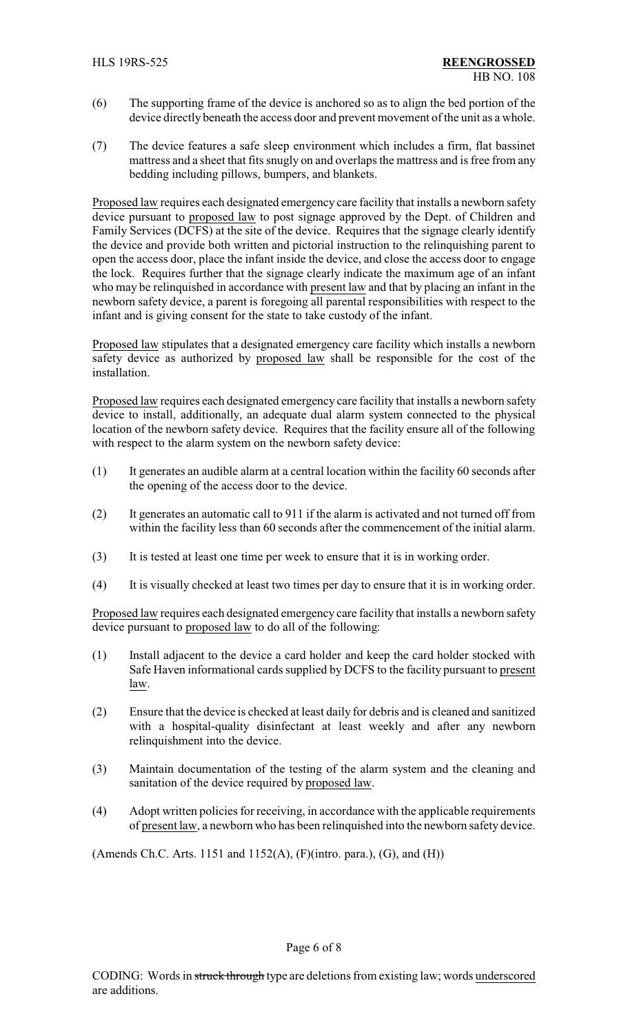- (6) The supporting frame of the device is anchored so as to align the bed portion of the device directly beneath the access door and prevent movement of the unit as a whole.
- (7) The device features a safe sleep environment which includes a firm, flat bassinet mattress and a sheet that fits snugly on and overlaps the mattress and is free from any bedding including pillows, bumpers, and blankets.

Proposed law requires each designated emergency care facility that installs a newborn safety device pursuant to proposed law to post signage approved by the Dept. of Children and Family Services (DCFS) at the site of the device. Requires that the signage clearly identify the device and provide both written and pictorial instruction to the relinquishing parent to open the access door, place the infant inside the device, and close the access door to engage the lock. Requires further that the signage clearly indicate the maximum age of an infant who may be relinquished in accordance with present law and that by placing an infant in the newborn safety device, a parent is foregoing all parental responsibilities with respect to the infant and is giving consent for the state to take custody of the infant.

Proposed law stipulates that a designated emergency care facility which installs a newborn safety device as authorized by proposed law shall be responsible for the cost of the installation.

Proposed law requires each designated emergency care facility that installs a newborn safety device to install, additionally, an adequate dual alarm system connected to the physical location of the newborn safety device. Requires that the facility ensure all of the following with respect to the alarm system on the newborn safety device:

- (1) It generates an audible alarm at a central location within the facility 60 seconds after the opening of the access door to the device.
- (2) It generates an automatic call to 911 if the alarm is activated and not turned off from within the facility less than 60 seconds after the commencement of the initial alarm.
- (3) It is tested at least one time per week to ensure that it is in working order.
- (4) It is visually checked at least two times per day to ensure that it is in working order.

Proposed law requires each designated emergency care facility that installs a newborn safety device pursuant to proposed law to do all of the following:

- (1) Install adjacent to the device a card holder and keep the card holder stocked with Safe Haven informational cards supplied by DCFS to the facility pursuant to present law.
- (2) Ensure that the device is checked at least daily for debris and is cleaned and sanitized with a hospital-quality disinfectant at least weekly and after any newborn relinquishment into the device.
- (3) Maintain documentation of the testing of the alarm system and the cleaning and sanitation of the device required by proposed law.
- (4) Adopt written policies for receiving, in accordance with the applicable requirements of present law, a newborn who has been relinquished into the newborn safety device.

(Amends Ch.C. Arts. 1151 and 1152(A), (F)(intro. para.), (G), and (H))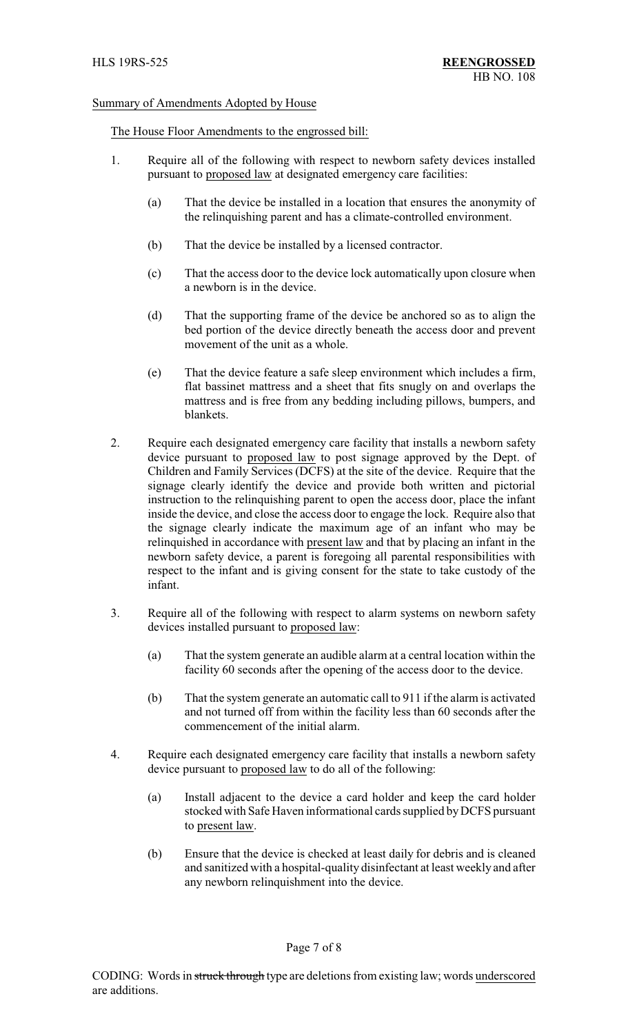#### Summary of Amendments Adopted by House

#### The House Floor Amendments to the engrossed bill:

- 1. Require all of the following with respect to newborn safety devices installed pursuant to proposed law at designated emergency care facilities:
	- (a) That the device be installed in a location that ensures the anonymity of the relinquishing parent and has a climate-controlled environment.
	- (b) That the device be installed by a licensed contractor.
	- (c) That the access door to the device lock automatically upon closure when a newborn is in the device.
	- (d) That the supporting frame of the device be anchored so as to align the bed portion of the device directly beneath the access door and prevent movement of the unit as a whole.
	- (e) That the device feature a safe sleep environment which includes a firm, flat bassinet mattress and a sheet that fits snugly on and overlaps the mattress and is free from any bedding including pillows, bumpers, and blankets.
- 2. Require each designated emergency care facility that installs a newborn safety device pursuant to proposed law to post signage approved by the Dept. of Children and Family Services (DCFS) at the site of the device. Require that the signage clearly identify the device and provide both written and pictorial instruction to the relinquishing parent to open the access door, place the infant inside the device, and close the access door to engage the lock. Require also that the signage clearly indicate the maximum age of an infant who may be relinquished in accordance with present law and that by placing an infant in the newborn safety device, a parent is foregoing all parental responsibilities with respect to the infant and is giving consent for the state to take custody of the infant.
- 3. Require all of the following with respect to alarm systems on newborn safety devices installed pursuant to proposed law:
	- (a) That the system generate an audible alarm at a central location within the facility 60 seconds after the opening of the access door to the device.
	- (b) That the system generate an automatic call to 911 if the alarm is activated and not turned off from within the facility less than 60 seconds after the commencement of the initial alarm.
- 4. Require each designated emergency care facility that installs a newborn safety device pursuant to proposed law to do all of the following:
	- (a) Install adjacent to the device a card holder and keep the card holder stocked with Safe Haven informational cards supplied byDCFS pursuant to present law.
	- (b) Ensure that the device is checked at least daily for debris and is cleaned and sanitized with a hospital-quality disinfectant at least weekly and after any newborn relinquishment into the device.